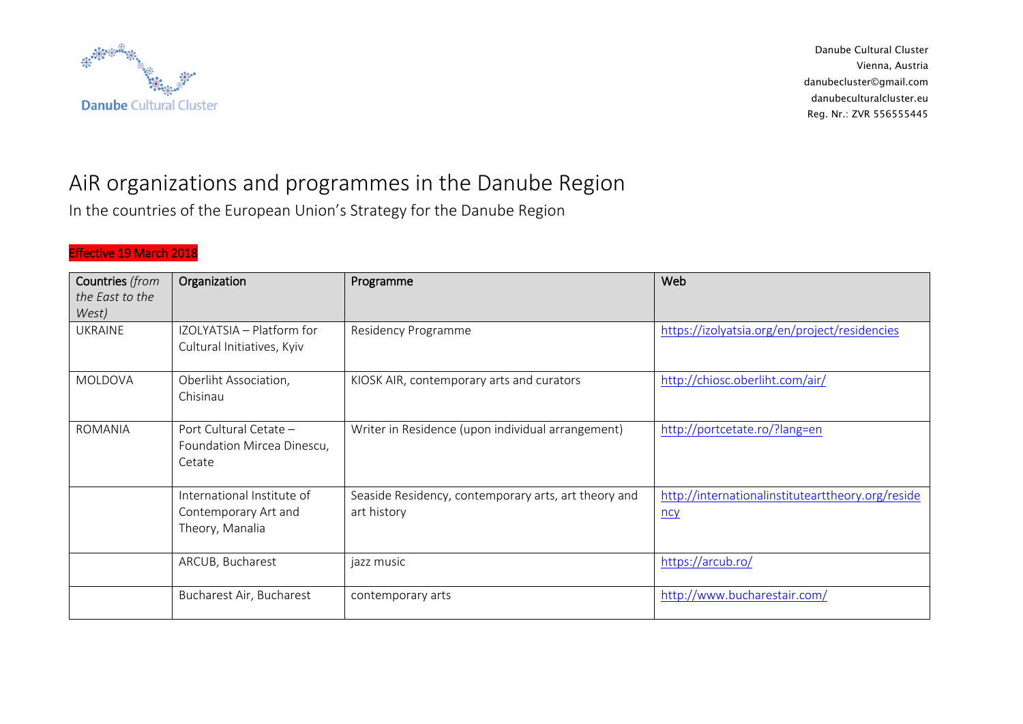

## AiR organizations and programmes in the Danube Region

In the countries of the European Union's Strategy for the Danube Region

## Effective 19 March 2018

| Countries (from | Organization               | Programme                                            | Web                                               |
|-----------------|----------------------------|------------------------------------------------------|---------------------------------------------------|
| the East to the |                            |                                                      |                                                   |
| West)           |                            |                                                      |                                                   |
| <b>UKRAINE</b>  | IZOLYATSIA - Platform for  | Residency Programme                                  | https://izolyatsia.org/en/project/residencies     |
|                 | Cultural Initiatives, Kyiv |                                                      |                                                   |
|                 |                            |                                                      |                                                   |
| MOLDOVA         | Oberliht Association,      | KIOSK AIR, contemporary arts and curators            | http://chiosc.oberliht.com/air/                   |
|                 | Chisinau                   |                                                      |                                                   |
|                 |                            |                                                      |                                                   |
| ROMANIA         | Port Cultural Cetate -     | Writer in Residence (upon individual arrangement)    | http://portcetate.ro/?lang=en                     |
|                 | Foundation Mircea Dinescu, |                                                      |                                                   |
|                 | Cetate                     |                                                      |                                                   |
|                 |                            |                                                      |                                                   |
|                 | International Institute of | Seaside Residency, contemporary arts, art theory and | http://internationalinstitutearttheory.org/reside |
|                 | Contemporary Art and       | art history                                          | <u>ncy</u>                                        |
|                 | Theory, Manalia            |                                                      |                                                   |
|                 |                            |                                                      |                                                   |
|                 | ARCUB, Bucharest           | jazz music                                           | https://arcub.ro/                                 |
|                 |                            |                                                      |                                                   |
|                 | Bucharest Air, Bucharest   | contemporary arts                                    | http://www.bucharestair.com/                      |
|                 |                            |                                                      |                                                   |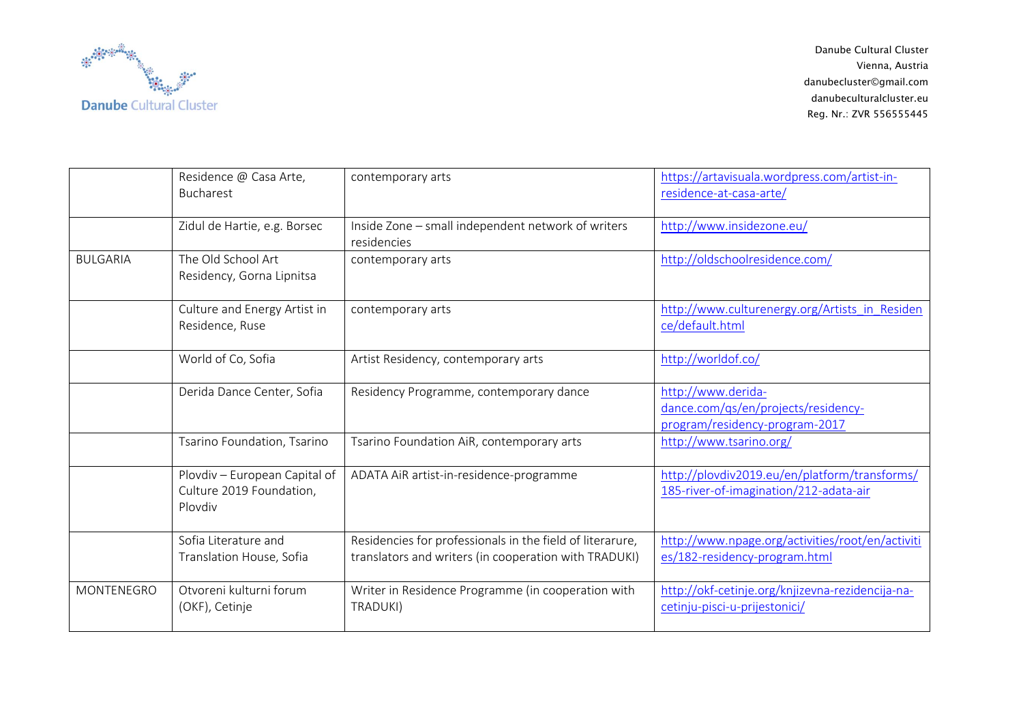

|                 | Residence @ Casa Arte,<br>Bucharest                                  | contemporary arts                                                                                                  | https://artavisuala.wordpress.com/artist-in-<br>residence-at-casa-arte/                     |
|-----------------|----------------------------------------------------------------------|--------------------------------------------------------------------------------------------------------------------|---------------------------------------------------------------------------------------------|
|                 | Zidul de Hartie, e.g. Borsec                                         | Inside Zone - small independent network of writers<br>residencies                                                  | http://www.insidezone.eu/                                                                   |
| <b>BULGARIA</b> | The Old School Art<br>Residency, Gorna Lipnitsa                      | contemporary arts                                                                                                  | http://oldschoolresidence.com/                                                              |
|                 | Culture and Energy Artist in<br>Residence, Ruse                      | contemporary arts                                                                                                  | http://www.culturenergy.org/Artists in Residen<br>ce/default.html                           |
|                 | World of Co, Sofia                                                   | Artist Residency, contemporary arts                                                                                | http://worldof.co/                                                                          |
|                 | Derida Dance Center, Sofia                                           | Residency Programme, contemporary dance                                                                            | http://www.derida-<br>dance.com/qs/en/projects/residency-<br>program/residency-program-2017 |
|                 | Tsarino Foundation, Tsarino                                          | Tsarino Foundation AiR, contemporary arts                                                                          | http://www.tsarino.org/                                                                     |
|                 | Plovdiv - European Capital of<br>Culture 2019 Foundation,<br>Plovdiv | ADATA AiR artist-in-residence-programme                                                                            | http://plovdiv2019.eu/en/platform/transforms/<br>185-river-of-imagination/212-adata-air     |
|                 | Sofia Literature and<br>Translation House, Sofia                     | Residencies for professionals in the field of literarure,<br>translators and writers (in cooperation with TRADUKI) | http://www.npage.org/activities/root/en/activiti<br>es/182-residency-program.html           |
| MONTENEGRO      | Otvoreni kulturni forum<br>(OKF), Cetinje                            | Writer in Residence Programme (in cooperation with<br>TRADUKI)                                                     | http://okf-cetinje.org/knjizevna-rezidencija-na-<br>cetinju-pisci-u-prijestonici/           |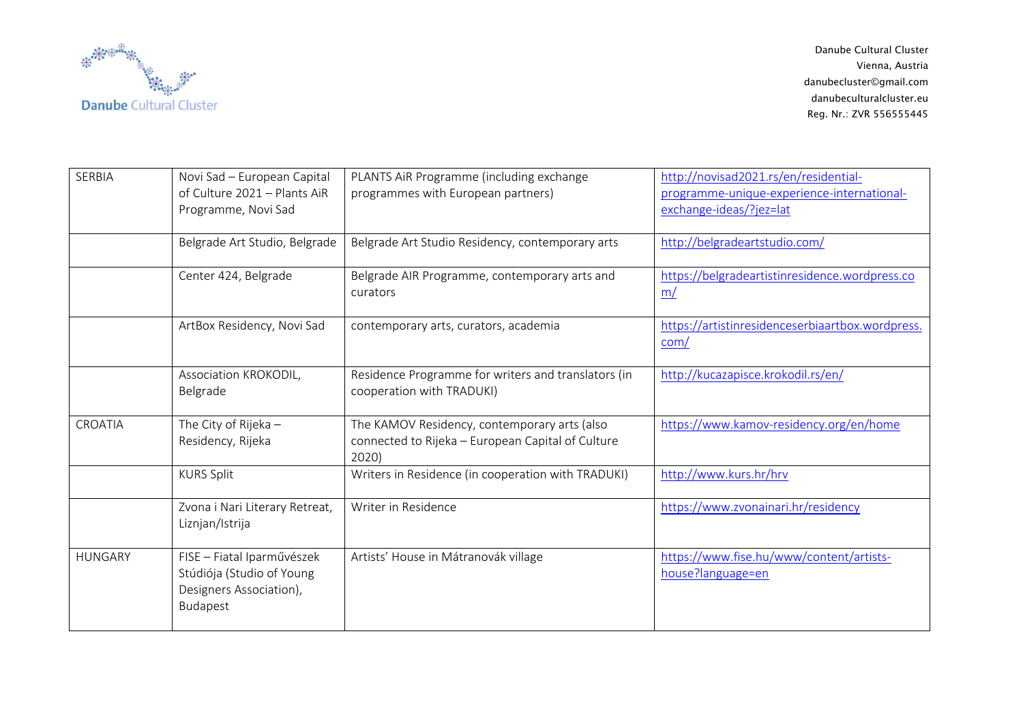

| <b>SERBIA</b>  | Novi Sad - European Capital<br>of Culture 2021 - Plants AiR<br>Programme, Novi Sad             | PLANTS AIR Programme (including exchange<br>programmes with European partners)                             | http://novisad2021.rs/en/residential-<br>programme-unique-experience-international-<br>exchange-ideas/?jez=lat |
|----------------|------------------------------------------------------------------------------------------------|------------------------------------------------------------------------------------------------------------|----------------------------------------------------------------------------------------------------------------|
|                | Belgrade Art Studio, Belgrade                                                                  | Belgrade Art Studio Residency, contemporary arts                                                           | http://belgradeartstudio.com/                                                                                  |
|                | Center 424, Belgrade                                                                           | Belgrade AIR Programme, contemporary arts and<br>curators                                                  | https://belgradeartistinresidence.wordpress.co<br>m/                                                           |
|                | ArtBox Residency, Novi Sad                                                                     | contemporary arts, curators, academia                                                                      | https://artistinresidenceserbiaartbox.wordpress.<br>com/                                                       |
|                | Association KROKODIL,<br>Belgrade                                                              | Residence Programme for writers and translators (in<br>cooperation with TRADUKI)                           | http://kucazapisce.krokodil.rs/en/                                                                             |
| CROATIA        | The City of Rijeka -<br>Residency, Rijeka                                                      | The KAMOV Residency, contemporary arts (also<br>connected to Rijeka - European Capital of Culture<br>2020) | https://www.kamov-residency.org/en/home                                                                        |
|                | <b>KURS Split</b>                                                                              | Writers in Residence (in cooperation with TRADUKI)                                                         | http://www.kurs.hr/hrv                                                                                         |
|                | Zvona i Nari Literary Retreat,<br>Liznjan/Istrija                                              | Writer in Residence                                                                                        | https://www.zvonainari.hr/residency                                                                            |
| <b>HUNGARY</b> | FISE - Fiatal Iparművészek<br>Stúdiója (Studio of Young<br>Designers Association),<br>Budapest | Artists' House in Mátranovák village                                                                       | https://www.fise.hu/www/content/artists-<br>house?language=en                                                  |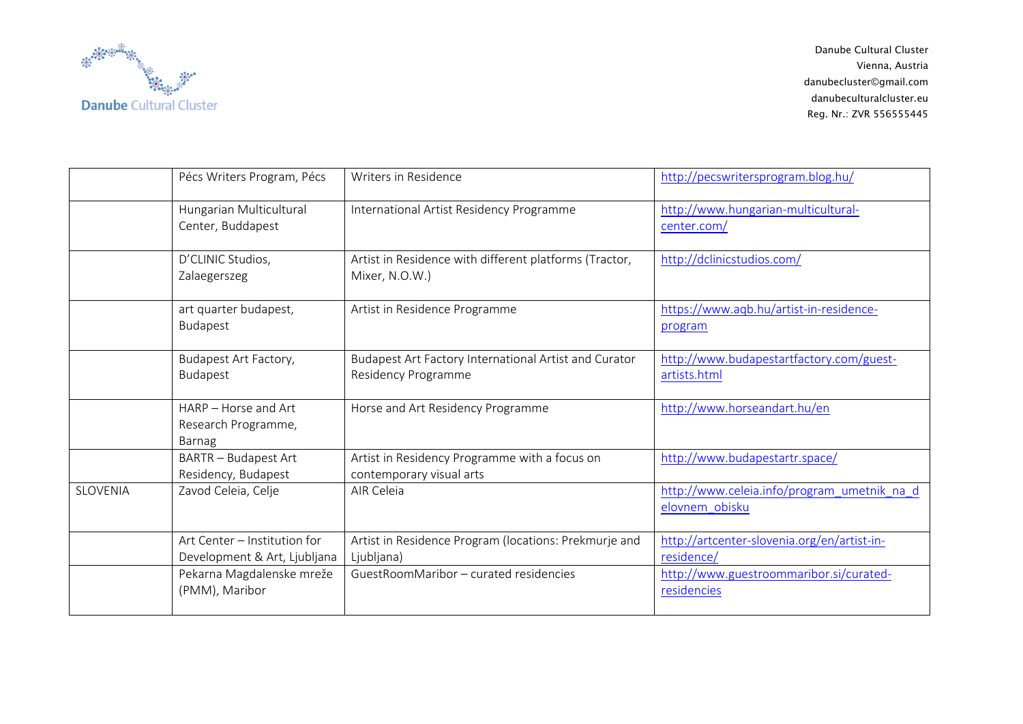

|                 | Pécs Writers Program, Pécs                                   | Writers in Residence                                                         | http://pecswritersprogram.blog.hu/                            |
|-----------------|--------------------------------------------------------------|------------------------------------------------------------------------------|---------------------------------------------------------------|
|                 | Hungarian Multicultural<br>Center, Buddapest                 | International Artist Residency Programme                                     | http://www.hungarian-multicultural-<br>center.com/            |
|                 | D'CLINIC Studios,<br>Zalaegerszeg                            | Artist in Residence with different platforms (Tractor,<br>Mixer, N.O.W.)     | http://dclinicstudios.com/                                    |
|                 | art quarter budapest,<br>Budapest                            | Artist in Residence Programme                                                | https://www.aqb.hu/artist-in-residence-<br>program            |
|                 | Budapest Art Factory,<br>Budapest                            | Budapest Art Factory International Artist and Curator<br>Residency Programme | http://www.budapestartfactory.com/guest-<br>artists.html      |
|                 | HARP - Horse and Art<br>Research Programme,<br>Barnag        | Horse and Art Residency Programme                                            | http://www.horseandart.hu/en                                  |
|                 | <b>BARTR - Budapest Art</b><br>Residency, Budapest           | Artist in Residency Programme with a focus on<br>contemporary visual arts    | http://www.budapestartr.space/                                |
| <b>SLOVENIA</b> | Zavod Celeia, Celje                                          | AIR Celeia                                                                   | http://www.celeia.info/program_umetnik_na_d<br>elovnem obisku |
|                 | Art Center - Institution for<br>Development & Art, Ljubljana | Artist in Residence Program (locations: Prekmurje and<br>Ljubljana)          | http://artcenter-slovenia.org/en/artist-in-<br>residence/     |
|                 | Pekarna Magdalenske mreže<br>(PMM), Maribor                  | GuestRoomMaribor - curated residencies                                       | http://www.guestroommaribor.si/curated-<br>residencies        |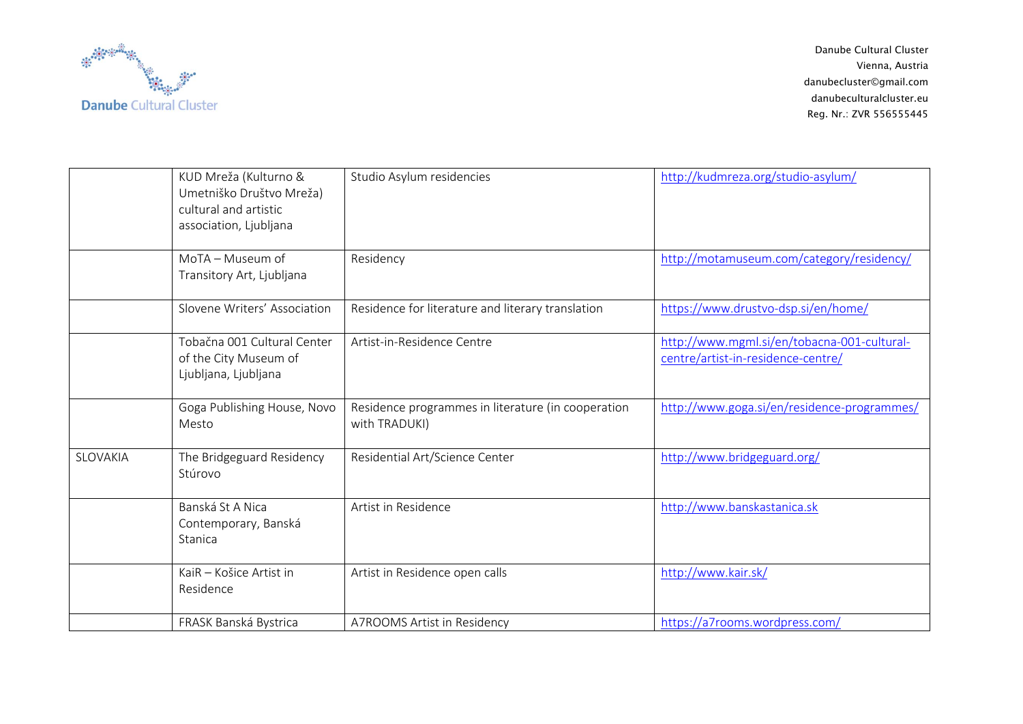

|                 | KUD Mreža (Kulturno &<br>Umetniško Društvo Mreža)<br>cultural and artistic<br>association, Ljubljana | Studio Asylum residencies                                           | http://kudmreza.org/studio-asylum/                                                |
|-----------------|------------------------------------------------------------------------------------------------------|---------------------------------------------------------------------|-----------------------------------------------------------------------------------|
|                 | MoTA - Museum of<br>Transitory Art, Ljubljana                                                        | Residency                                                           | http://motamuseum.com/category/residency/                                         |
|                 | Slovene Writers' Association                                                                         | Residence for literature and literary translation                   | https://www.drustvo-dsp.si/en/home/                                               |
|                 | Tobačna 001 Cultural Center<br>of the City Museum of<br>Ljubljana, Ljubljana                         | Artist-in-Residence Centre                                          | http://www.mgml.si/en/tobacna-001-cultural-<br>centre/artist-in-residence-centre/ |
|                 | Goga Publishing House, Novo<br>Mesto                                                                 | Residence programmes in literature (in cooperation<br>with TRADUKI) | http://www.goga.si/en/residence-programmes/                                       |
| <b>SLOVAKIA</b> | The Bridgeguard Residency<br>Stúrovo                                                                 | Residential Art/Science Center                                      | http://www.bridgeguard.org/                                                       |
|                 | Banská St A Nica<br>Contemporary, Banská<br>Stanica                                                  | Artist in Residence                                                 | http://www.banskastanica.sk                                                       |
|                 | KaiR - Košice Artist in<br>Residence                                                                 | Artist in Residence open calls                                      | http://www.kair.sk/                                                               |
|                 | FRASK Banská Bystrica                                                                                | A7ROOMS Artist in Residency                                         | https://a7rooms.wordpress.com/                                                    |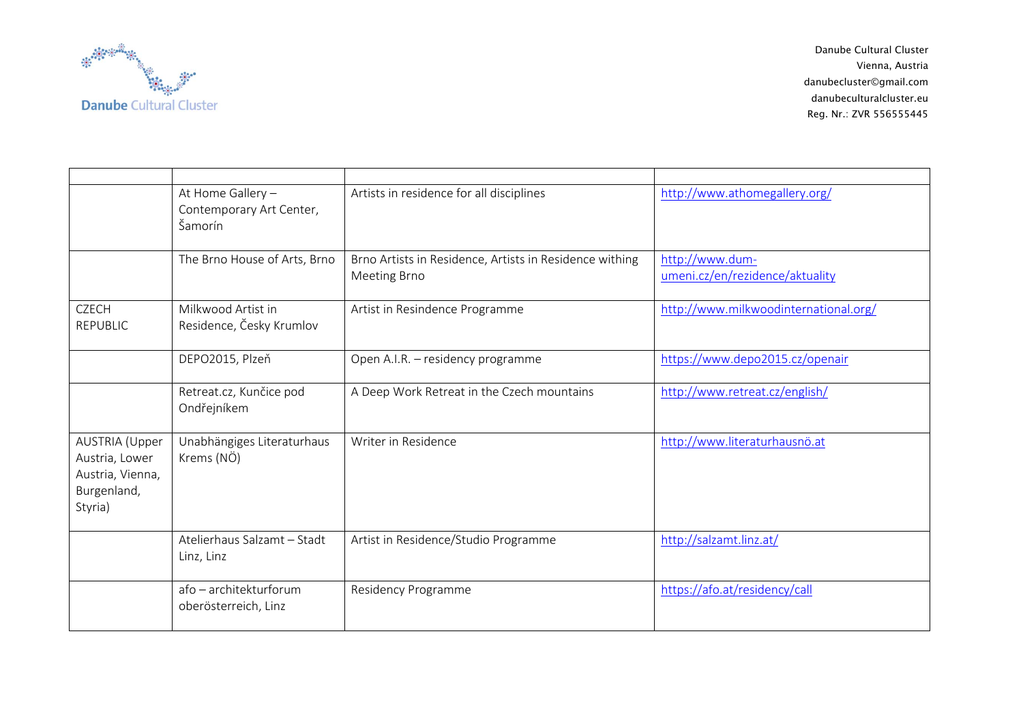

|                                                                                       | At Home Gallery -<br>Contemporary Art Center,<br>Šamorín | Artists in residence for all disciplines                                | http://www.athomegallery.org/                      |
|---------------------------------------------------------------------------------------|----------------------------------------------------------|-------------------------------------------------------------------------|----------------------------------------------------|
|                                                                                       | The Brno House of Arts, Brno                             | Brno Artists in Residence, Artists in Residence withing<br>Meeting Brno | http://www.dum-<br>umeni.cz/en/rezidence/aktuality |
| <b>CZECH</b><br><b>REPUBLIC</b>                                                       | Milkwood Artist in<br>Residence, Česky Krumlov           | Artist in Resindence Programme                                          | http://www.milkwoodinternational.org/              |
|                                                                                       | DEPO2015, Plzeň                                          | Open A.I.R. - residency programme                                       | https://www.depo2015.cz/openair                    |
|                                                                                       | Retreat.cz, Kunčice pod<br>Ondřejníkem                   | A Deep Work Retreat in the Czech mountains                              | http://www.retreat.cz/english/                     |
| <b>AUSTRIA</b> (Upper<br>Austria, Lower<br>Austria, Vienna,<br>Burgenland,<br>Styria) | Unabhängiges Literaturhaus<br>Krems (NÖ)                 | Writer in Residence                                                     | http://www.literaturhausnö.at                      |
|                                                                                       | Atelierhaus Salzamt - Stadt<br>Linz, Linz                | Artist in Residence/Studio Programme                                    | http://salzamt.linz.at/                            |
|                                                                                       | afo - architekturforum<br>oberösterreich, Linz           | Residency Programme                                                     | https://afo.at/residency/call                      |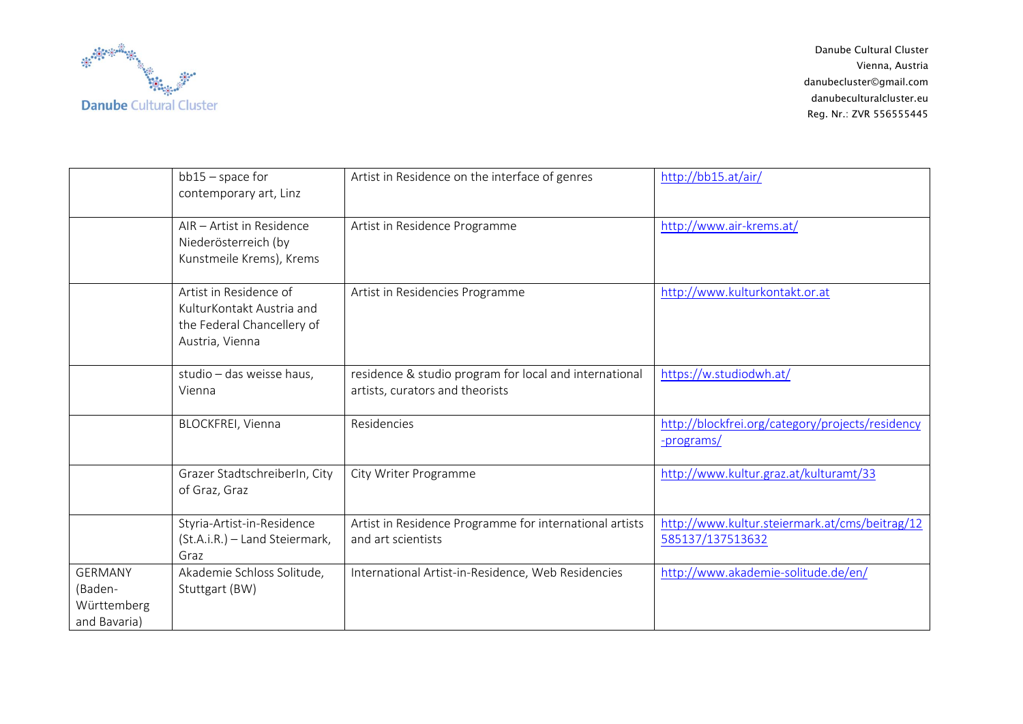

|                                                          | $bb15$ – space for<br>contemporary art, Linz                                                         | Artist in Residence on the interface of genres                                            | http://bb15.at/air/                                                |
|----------------------------------------------------------|------------------------------------------------------------------------------------------------------|-------------------------------------------------------------------------------------------|--------------------------------------------------------------------|
|                                                          | AIR - Artist in Residence<br>Niederösterreich (by<br>Kunstmeile Krems), Krems                        | Artist in Residence Programme                                                             | http://www.air-krems.at/                                           |
|                                                          | Artist in Residence of<br>KulturKontakt Austria and<br>the Federal Chancellery of<br>Austria, Vienna | Artist in Residencies Programme                                                           | http://www.kulturkontakt.or.at                                     |
|                                                          | studio - das weisse haus,<br>Vienna                                                                  | residence & studio program for local and international<br>artists, curators and theorists | https://w.studiodwh.at/                                            |
|                                                          | <b>BLOCKFREI, Vienna</b>                                                                             | Residencies                                                                               | http://blockfrei.org/category/projects/residency<br>-programs/     |
|                                                          | Grazer StadtschreiberIn, City<br>of Graz, Graz                                                       | City Writer Programme                                                                     | http://www.kultur.graz.at/kulturamt/33                             |
|                                                          | Styria-Artist-in-Residence<br>(St.A.i.R.) - Land Steiermark,<br>Graz                                 | Artist in Residence Programme for international artists<br>and art scientists             | http://www.kultur.steiermark.at/cms/beitrag/12<br>585137/137513632 |
| <b>GERMANY</b><br>(Baden-<br>Württemberg<br>and Bavaria) | Akademie Schloss Solitude,<br>Stuttgart (BW)                                                         | International Artist-in-Residence, Web Residencies                                        | http://www.akademie-solitude.de/en/                                |